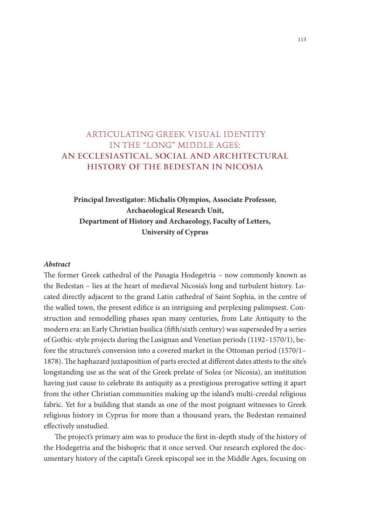# ARTICULATING GREEK VISUAL IDENTITY IN THE "LONG" MIDDLE AGES: AN ECCLESIASTICAL, SOCIAL AND ARCHITECTURAL HISTORY OF THE BEDESTAN IN NICOSIA

## **Principal Investigator: Michalis Olympios, Associate Professor, Archaeological Research Unit, Department of History and Archaeology, Faculty of Letters, University of Cyprus**

## *Abstract*

The former Greek cathedral of the Panagia Hodegetria – now commonly known as the Bedestan – lies at the heart of medieval Nicosia's long and turbulent history. Located directly adjacent to the grand Latin cathedral of Saint Sophia, in the centre of the walled town, the present edifice is an intriguing and perplexing palimpsest. Construction and remodelling phases span many centuries, from Late Antiquity to the modern era: an Early Christian basilica (fifth/sixth century) was superseded by a series of Gothic-style projects during the Lusignan and Venetian periods (1192–1570/1), before the structure's conversion into a covered market in the Ottoman period (1570/1– 1878). The haphazard juxtaposition of parts erected at different dates attests to the site's longstanding use as the seat of the Greek prelate of Solea (or Nicosia), an institution having just cause to celebrate its antiquity as a prestigious prerogative setting it apart from the other Christian communities making up the island's multi-creedal religious fabric. Yet for a building that stands as one of the most poignant witnesses to Greek religious history in Cyprus for more than a thousand years, the Bedestan remained effectively unstudied.

The project's primary aim was to produce the first in-depth study of the history of the Hodegetria and the bishopric that it once served. Our research explored the documentary history of the capital's Greek episcopal see in the Middle Ages, focusing on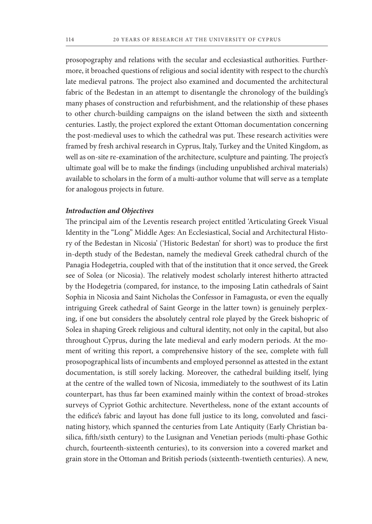prosopography and relations with the secular and ecclesiastical authorities. Furthermore, it broached questions of religious and social identity with respect to the church's late medieval patrons. The project also examined and documented the architectural fabric of the Bedestan in an attempt to disentangle the chronology of the building's many phases of construction and refurbishment, and the relationship of these phases to other church-building campaigns on the island between the sixth and sixteenth centuries. Lastly, the project explored the extant Ottoman documentation concerning the post-medieval uses to which the cathedral was put. These research activities were framed by fresh archival research in Cyprus, Italy, Turkey and the United Kingdom, as well as on-site re-examination of the architecture, sculpture and painting. The project's ultimate goal will be to make the findings (including unpublished archival materials) available to scholars in the form of a multi-author volume that will serve as a template for analogous projects in future.

## *Introduction and Objectives*

The principal aim of the Leventis research project entitled 'Articulating Greek Visual Identity in the "Long" Middle Ages: An Ecclesiastical, Social and Architectural History of the Bedestan in Nicosia' ('Historic Bedestan' for short) was to produce the first in-depth study of the Bedestan, namely the medieval Greek cathedral church of the Panagia Hodegetria, coupled with that of the institution that it once served, the Greek see of Solea (or Nicosia). The relatively modest scholarly interest hitherto attracted by the Hodegetria (compared, for instance, to the imposing Latin cathedrals of Saint Sophia in Nicosia and Saint Nicholas the Confessor in Famagusta, or even the equally intriguing Greek cathedral of Saint George in the latter town) is genuinely perplexing, if one but considers the absolutely central role played by the Greek bishopric of Solea in shaping Greek religious and cultural identity, not only in the capital, but also throughout Cyprus, during the late medieval and early modern periods. At the moment of writing this report, a comprehensive history of the see, complete with full prosopographical lists of incumbents and employed personnel as attested in the extant documentation, is still sorely lacking. Moreover, the cathedral building itself, lying at the centre of the walled town of Nicosia, immediately to the southwest of its Latin counterpart, has thus far been examined mainly within the context of broad-strokes surveys of Cypriot Gothic architecture. Nevertheless, none of the extant accounts of the edifice's fabric and layout has done full justice to its long, convoluted and fascinating history, which spanned the centuries from Late Antiquity (Early Christian basilica, fifth/sixth century) to the Lusignan and Venetian periods (multi-phase Gothic church, fourteenth-sixteenth centuries), to its conversion into a covered market and grain store in the Ottoman and British periods (sixteenth-twentieth centuries). A new,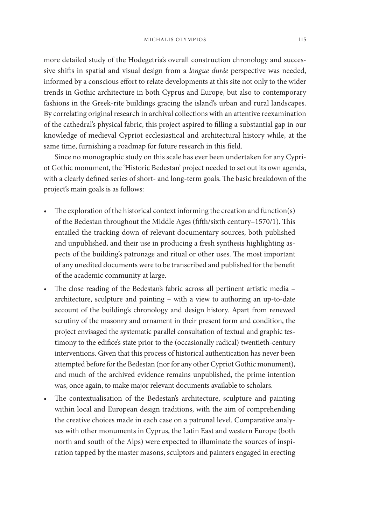more detailed study of the Hodegetria's overall construction chronology and successive shifts in spatial and visual design from a *longue durée* perspective was needed, informed by a conscious effort to relate developments at this site not only to the wider trends in Gothic architecture in both Cyprus and Europe, but also to contemporary fashions in the Greek-rite buildings gracing the island's urban and rural landscapes. By correlating original research in archival collections with an attentive reexamination of the cathedral's physical fabric, this project aspired to filling a substantial gap in our knowledge of medieval Cypriot ecclesiastical and architectural history while, at the same time, furnishing a roadmap for future research in this field.

Since no monographic study on this scale has ever been undertaken for any Cypriot Gothic monument, the 'Historic Bedestan' project needed to set out its own agenda, with a clearly defined series of short- and long-term goals. The basic breakdown of the project's main goals is as follows:

- The exploration of the historical context informing the creation and function(s) of the Bedestan throughout the Middle Ages (fifth/sixth century–1570/1). This entailed the tracking down of relevant documentary sources, both published and unpublished, and their use in producing a fresh synthesis highlighting aspects of the building's patronage and ritual or other uses. The most important of any unedited documents were to be transcribed and published for the benefit of the academic community at large.
- The close reading of the Bedestan's fabric across all pertinent artistic media architecture, sculpture and painting – with a view to authoring an up-to-date account of the building's chronology and design history. Apart from renewed scrutiny of the masonry and ornament in their present form and condition, the project envisaged the systematic parallel consultation of textual and graphic testimony to the edifice's state prior to the (occasionally radical) twentieth-century interventions. Given that this process of historical authentication has never been attempted before for the Bedestan (nor for any other Cypriot Gothic monument), and much of the archived evidence remains unpublished, the prime intention was, once again, to make major relevant documents available to scholars.
- The contextualisation of the Bedestan's architecture, sculpture and painting within local and European design traditions, with the aim of comprehending the creative choices made in each case on a patronal level. Comparative analyses with other monuments in Cyprus, the Latin East and western Europe (both north and south of the Alps) were expected to illuminate the sources of inspiration tapped by the master masons, sculptors and painters engaged in erecting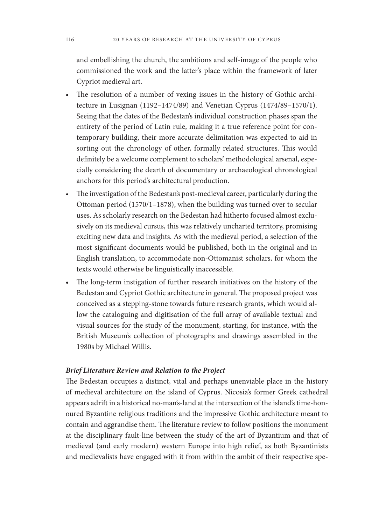and embellishing the church, the ambitions and self-image of the people who commissioned the work and the latter's place within the framework of later Cypriot medieval art.

- The resolution of a number of vexing issues in the history of Gothic architecture in Lusignan (1192–1474/89) and Venetian Cyprus (1474/89–1570/1). Seeing that the dates of the Bedestan's individual construction phases span the entirety of the period of Latin rule, making it a true reference point for contemporary building, their more accurate delimitation was expected to aid in sorting out the chronology of other, formally related structures. This would definitely be a welcome complement to scholars' methodological arsenal, especially considering the dearth of documentary or archaeological chronological anchors for this period's architectural production.
- The investigation of the Bedestan's post-medieval career, particularly during the Ottoman period (1570/1–1878), when the building was turned over to secular uses. As scholarly research on the Bedestan had hitherto focused almost exclusively on its medieval cursus, this was relatively uncharted territory, promising exciting new data and insights. As with the medieval period, a selection of the most significant documents would be published, both in the original and in English translation, to accommodate non-Ottomanist scholars, for whom the texts would otherwise be linguistically inaccessible.
- The long-term instigation of further research initiatives on the history of the Bedestan and Cypriot Gothic architecture in general. The proposed project was conceived as a stepping-stone towards future research grants, which would allow the cataloguing and digitisation of the full array of available textual and visual sources for the study of the monument, starting, for instance, with the British Museum's collection of photographs and drawings assembled in the 1980s by Michael Willis.

#### *Brief Literature Review and Relation to the Project*

The Bedestan occupies a distinct, vital and perhaps unenviable place in the history of medieval architecture on the island of Cyprus. Nicosia's former Greek cathedral appears adrift in a historical no-man's-land at the intersection of the island's time-honoured Byzantine religious traditions and the impressive Gothic architecture meant to contain and aggrandise them. The literature review to follow positions the monument at the disciplinary fault-line between the study of the art of Byzantium and that of medieval (and early modern) western Europe into high relief, as both Byzantinists and medievalists have engaged with it from within the ambit of their respective spe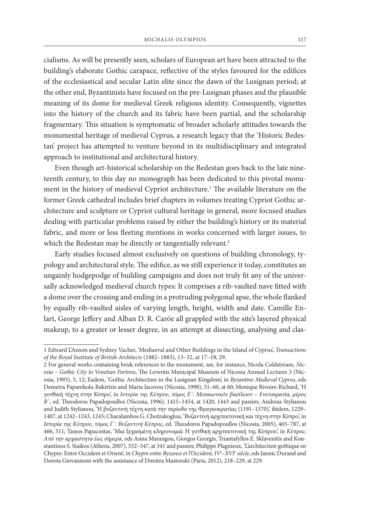cialisms. As will be presently seen, scholars of European art have been attracted to the building's elaborate Gothic carapace, reflective of the styles favoured for the edifices of the ecclesiastical and secular Latin elite since the dawn of the Lusignan period; at the other end, Byzantinists have focused on the pre-Lusignan phases and the plausible meaning of its dome for medieval Greek religious identity. Consequently, vignettes into the history of the church and its fabric have been partial, and the scholarship fragmentary. This situation is symptomatic of broader scholarly attitudes towards the monumental heritage of medieval Cyprus, a research legacy that the 'Historic Bedestan' project has attempted to venture beyond in its multidisciplinary and integrated approach to institutional and architectural history.

Even though art-historical scholarship on the Bedestan goes back to the late nineteenth century, to this day no monograph has been dedicated to this pivotal monument in the history of medieval Cypriot architecture.1 The available literature on the former Greek cathedral includes brief chapters in volumes treating Cypriot Gothic architecture and sculpture or Cypriot cultural heritage in general, more focused studies dealing with particular problems raised by either the building's history or its material fabric, and more or less fleeting mentions in works concerned with larger issues, to which the Bedestan may be directly or tangentially relevant.<sup>2</sup>

Early studies focused almost exclusively on questions of building chronology, typology and architectural style. The edifice, as we still experience it today, constitutes an ungainly hodgepodge of building campaigns and does not truly fit any of the universally acknowledged medieval church types: It comprises a rib-vaulted nave fitted with a dome over the crossing and ending in a protruding polygonal apse, the whole flanked by equally rib-vaulted aisles of varying length, height, width and date. Camille Enlart, George Jeffery and Alban D. R. Caröe all grappled with the site's layered physical makeup, to a greater or lesser degree, in an attempt at dissecting, analysing and clas-

<sup>1</sup> Edward L'Anson and Sydney Vacher, 'Mediaeval and Other Buildings in the Island of Cyprus', *Transactions of the Royal Institute of British Architects* (1882–1883), 13–32, at 17–18, 29.

<sup>2</sup> For general works containing brisk references to the monument, see, for instance, Nicola Coldstream, *Nicosia – Gothic City to Venetian Fortress*, The Leventis Municipal Museum of Nicosia Annual Lectures 3 (Nicosia, 1993), 5, 12; Eadem, 'Gothic Architecture in the Lusignan Kingdom', in *Byzantine Medieval Cyprus*, eds Demetra Papanikola-Bakirtzis and Maria Iacovou (Nicosia, 1998), 51–60, at 60; Monique Rivoire-Richard, 'Η γοτθική τέχνη στην Κύπρο', in *Ιστορία της Κύπρου, τόμος Ε΄: Μεσαιωνικόν βασίλειον – Ενετοκρατία, μέρος Β΄*, ed. Theodoros Papadopoullos (Nicosia, 1996), 1415–1454, at 1420, 1443 and passim; Andreas Stylianou and Judith Stylianou, 'Η βυζαντινή τέχνη κατά την περίοδο της Φραγκοκρατίας (1191-1570)', ibidem, 1229-1407, at 1242–1243, 1245; Charalambos G. Chotzakoglou, 'Βυζαντινή αρχιτεκτονική και τέχνη στην Κύπρο', in *Ιστορία της Κύπρου, τόμος Γ΄: Βυζαντινή Κύπρος*, ed. Theodoros Papadopoullos (Nicosia, 2005), 465–787, at 466, 511; Tassos Papacostas, 'Μια ξεχασμένη κληρονομιά: Η γοτθική αρχιτεκτονική της Κύπρου', in *Κύπρος: Από την αρχαιότητα έως σήμερα*, eds Anna Marangou, Giorgos Georgis, Triantafyllos E. Sklavenitis and Konstantinos S. Staikos (Athens, 2007), 332–347, at 341 and passim; Philippe Plagnieux, 'L'architecture gothique en Chypre: Entre Occident et Orient', in *Chypre entre Byzance et l'Occident, IVe –XVIe siècle*, eds Jannic Durand and Dorota Giovannoni with the assistance of Dimitra Mastoraki (Paris, 2012), 218–229, at 229.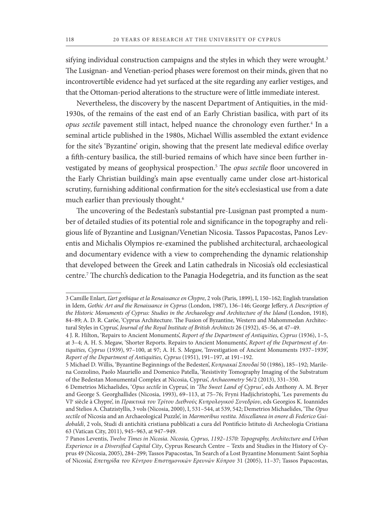sifying individual construction campaigns and the styles in which they were wrought.<sup>3</sup> The Lusignan- and Venetian-period phases were foremost on their minds, given that no incontrovertible evidence had yet surfaced at the site regarding any earlier vestiges, and that the Ottoman-period alterations to the structure were of little immediate interest.

Nevertheless, the discovery by the nascent Department of Antiquities, in the mid-1930s, of the remains of the east end of an Early Christian basilica, with part of its *opus sectile* pavement still intact, helped nuance the chronology even further.4 In a seminal article published in the 1980s, Michael Willis assembled the extant evidence for the site's 'Byzantine' origin, showing that the present late medieval edifice overlay a fifth-century basilica, the still-buried remains of which have since been further investigated by means of geophysical prospection.5 The *opus sectile* floor uncovered in the Early Christian building's main apse eventually came under close art-historical scrutiny, furnishing additional confirmation for the site's ecclesiastical use from a date much earlier than previously thought.<sup>6</sup>

The uncovering of the Bedestan's substantial pre-Lusignan past prompted a number of detailed studies of its potential role and significance in the topography and religious life of Byzantine and Lusignan/Venetian Nicosia. Tassos Papacostas, Panos Leventis and Michalis Olympios re-examined the published architectural, archaeological and documentary evidence with a view to comprehending the dynamic relationship that developed between the Greek and Latin cathedrals in Nicosia's old ecclesiastical centre.7 The church's dedication to the Panagia Hodegetria, and its function as the seat

<sup>3</sup> Camille Enlart, *L'art gothique et la Renaissance en Chypre*, 2 vols (Paris, 1899), I, 150–162; English translation in Idem, *Gothic Art and the Renaissance in Cyprus* (London, 1987), 136–146; George Jeffery, *A Description of the Historic Monuments of Cyprus: Studies in the Archaeology and Architecture of the Island* (London, 1918), 84–89; A. D. R. Caröe, 'Cyprus Architecture. The Fusion of Byzantine, Western and Mahommedan Architectural Styles in Cyprus', *Journal of the Royal Institute of British Architects* 26 (1932), 45–56, at 47–49.

<sup>4</sup> J. R. Hilton, 'Repairs to Ancient Monuments', *Report of the Department of Antiquities, Cyprus* (1936), 1–5, at 3–4; A. H. S. Megaw, 'Shorter Reports. Repairs to Ancient Monuments', *Report of the Department of Antiquities, Cyprus* (1939), 97–100, at 97; A. H. S. Megaw, 'Investigation of Ancient Monuments 1937–1939', *Report of the Department of Antiquities, Cyprus* (1951), 191–197, at 191–192.

<sup>5</sup> Michael D. Willis, 'Byzantine Beginnings of the Bedesten', *Κυπριακαί Σπουδαί* 50 (1986), 185–192; Marilena Cozzolino, Paolo Mauriello and Domenico Patella, 'Resistivity Tomography Imaging of the Substratum of the Bedestan Monumental Complex at Nicosia, Cyprus', *Archaeometry* 56/2 (2013), 331–350.

<sup>6</sup> Demetrios Michaelides, '*Opus sectile* in Cyprus', in *'The Sweet Land of Cyprus'*, eds Anthony A. M. Bryer and George S. Georghallides (Nicosia, 1993), 69–113, at 75–76; Fryni Hadjichristophi, 'Les pavements du VIe siècle à Chypre', in *Πρακτικά του Τρίτου Διεθνούς Κυπρολογικού Συνεδρίου*, eds Georgios K. Ioannides and Stelios A. Chatzistyllis, 3 vols (Nicosia, 2000), I, 531–544, at 539, 542; Demetrios Michaelides, 'The *Opus sectile* of Nicosia and an Archaeological Puzzle', in *Marmoribus vestita. Miscellanea in onore di Federico Guidobaldi*, 2 vols, Studi di antichità cristiana pubblicati a cura del Pontificio Istituto di Archeologia Cristiana 63 (Vatican City, 2011), 945–963, at 947–949.

<sup>7</sup> Panos Leventis, *Twelve Times in Nicosia. Nicosia, Cyprus, 1192–1570: Topography, Architecture and Urban Experience in a Diversified Capital City*, Cyprus Research Centre – Texts and Studies in the History of Cyprus 49 (Nicosia, 2005), 284–299; Tassos Papacostas, 'In Search of a Lost Byzantine Monument: Saint Sophia of Nicosia', *Επετηρίδα του Κέντρου Επιστημονικών Ερευνών Κύπρου* 31 (2005), 11–37; Tassos Papacostas,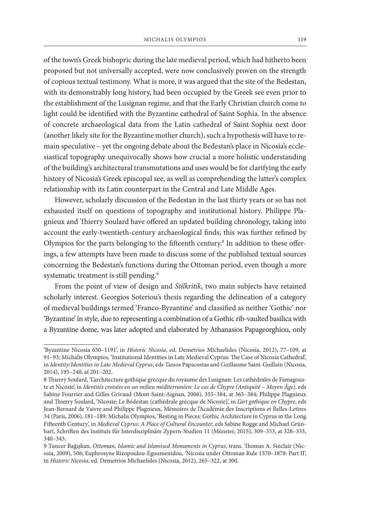of the town's Greek bishopric during the late medieval period, which had hitherto been proposed but not universally accepted, were now conclusively proven on the strength of copious textual testimony. What is more, it was argued that the site of the Bedestan, with its demonstrably long history, had been occupied by the Greek see even prior to the establishment of the Lusignan regime, and that the Early Christian church come to light could be identified with the Byzantine cathedral of Saint Sophia. In the absence of concrete archaeological data from the Latin cathedral of Saint Sophia next door (another likely site for the Byzantine mother church), such a hypothesis will have to remain speculative – yet the ongoing debate about the Bedestan's place in Nicosia's ecclesiastical topography unequivocally shows how crucial a more holistic understanding of the building's architectural transmutations and uses would be for clarifying the early history of Nicosia's Greek episcopal see, as well as comprehending the latter's complex relationship with its Latin counterpart in the Central and Late Middle Ages.

However, scholarly discussion of the Bedestan in the last thirty years or so has not exhausted itself on questions of topography and institutional history. Philippe Plagnieux and Thierry Soulard have offered an updated building chronology, taking into account the early-twentieth-century archaeological finds; this was further refined by Olympios for the parts belonging to the fifteenth century.<sup>8</sup> In addition to these offerings, a few attempts have been made to discuss some of the published textual sources concerning the Bedestan's functions during the Ottoman period, even though a more systematic treatment is still pending.<sup>9</sup>

From the point of view of design and *Stilkritik*, two main subjects have retained scholarly interest. Georgios Soteriou's thesis regarding the delineation of a category of medieval buildings termed 'Franco-Byzantine' and classified as neither 'Gothic' nor 'Byzantine' in style, due to representing a combination of a Gothic rib-vaulted basilica with a Byzantine dome, was later adopted and elaborated by Athanasios Papageorghiou, only

<sup>&#</sup>x27;Byzantine Nicosia 650–1191', in *Historic Nicosia*, ed. Demetrios Michaelides (Nicosia, 2012), 77–109, at 91–93; Michalis Olympios, 'Institutional Identities in Late Medieval Cyprus: The Case of Nicosia Cathedral', in *Identity/Identities in Late Medieval Cyprus*, eds Tassos Papacostas and Guillaume Saint-Guillain (Nicosia, 2014), 195–240, at 201–202.

<sup>8</sup> Thierry Soulard, 'L'architecture gothique grecque du royaume des Lusignan: Les cathédrales de Famagouste et Nicosie', in *Identités croisées en un milieu méditerranéen: Le cas de Chypre (Antiquité – Moyen Âge)*, eds Sabine Fourrier and Gilles Grivaud (Mont-Saint-Aignan, 2006), 355–384, at 365–384; Philippe Plagnieux and Thierry Soulard, 'Nicosie: Le Bédestan (cathédrale grecque de Nicosie)', in *L'art gothique en Chypre*, eds Jean-Bernard de Vaivre and Philippe Plagnieux, Mémoires de l'Académie des Inscriptions et Belles-Lettres 34 (Paris, 2006), 181–189; Michalis Olympios, 'Resting in Pieces: Gothic Architecture in Cyprus in the Long Fifteenth Century', in *Medieval Cyprus: A Place of Cultural Encounter*, eds Sabine Rogge and Michael Grünbart, Schriften des Instituts für Interdisziplinäre Zypern-Studien 11 (Münster, 2015), 309–353, at 328–333, 340–343.

<sup>9</sup> Tuncer Bağışkan, *Ottoman, Islamic and Islamised Monuments in Cyprus*, trans. Thomas A. Sinclair (Nicosia, 2009), 506; Euphrosyne Rizopoulou-Egoumenidou, 'Nicosia under Ottoman Rule 1570–1878: Part II', in *Historic Nicosia*, ed. Demetrios Michaelides (Nicosia, 2012), 265–322, at 300.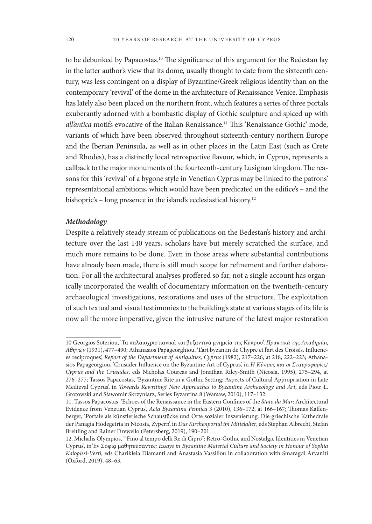to be debunked by Papacostas.<sup>10</sup> The significance of this argument for the Bedestan lay in the latter author's view that its dome, usually thought to date from the sixteenth century, was less contingent on a display of Byzantine/Greek religious identity than on the contemporary 'revival' of the dome in the architecture of Renaissance Venice. Emphasis has lately also been placed on the northern front, which features a series of three portals exuberantly adorned with a bombastic display of Gothic sculpture and spiced up with *all'antica* motifs evocative of the Italian Renaissance.11 This 'Renaissance Gothic' mode, variants of which have been observed throughout sixteenth-century northern Europe and the Iberian Peninsula, as well as in other places in the Latin East (such as Crete and Rhodes), has a distinctly local retrospective flavour, which, in Cyprus, represents a callback to the major monuments of the fourteenth-century Lusignan kingdom. The reasons for this 'revival' of a bygone style in Venetian Cyprus may be linked to the patrons' representational ambitions, which would have been predicated on the edifice's – and the bishopric's – long presence in the island's ecclesiastical history.<sup>12</sup>

#### *Methodology*

Despite a relatively steady stream of publications on the Bedestan's history and architecture over the last 140 years, scholars have but merely scratched the surface, and much more remains to be done. Even in those areas where substantial contributions have already been made, there is still much scope for refinement and further elaboration. For all the architectural analyses proffered so far, not a single account has organically incorporated the wealth of documentary information on the twentieth-century archaeological investigations, restorations and uses of the structure. The exploitation of such textual and visual testimonies to the building's state at various stages of its life is now all the more imperative, given the intrusive nature of the latest major restoration

<sup>10</sup> Georgios Soteriou, 'Τα παλαιοχριστιανικά και βυζαντινά μνημεία της Κύπρου', *Πρακτικά της Ακαδημίας Αθηνών* (1931), 477–490; Athanasios Papageorghiou, 'L'art byzantin de Chypre et l'art des Croisés. Influences reciproques', *Report of the Department of Antiquities, Cyprus* (1982), 217–226, at 218, 222–223; Athanasios Papageorgiou, 'Crusader Influence on the Byzantine Art of Cyprus', in *Η Κύπρος και οι Σταυροφορίες/ Cyprus and the Crusades*, eds Nicholas Coureas and Jonathan Riley-Smith (Nicosia, 1995), 275–294, at 276–277; Tassos Papacostas, 'Byzantine Rite in a Gothic Setting: Aspects of Cultural Appropriation in Late Medieval Cyprus', in *Towards Rewriting? New Approaches to Byzantine Archaeology and Art*, eds Piotr Ł. Grotowski and Sławomir Skrzyniarz, Series Byzantina 8 (Warsaw, 2010), 117–132.

<sup>11.</sup> Tassos Papacostas, 'Echoes of the Renaissance in the Eastern Confines of the *Stato da Mar*: Architectural Evidence from Venetian Cyprus', *Acta Byzantina Fennica* 3 (2010), 136–172, at 166–167; Thomas Kaffenberger, 'Portale als künstlerische Schaustücke und Orte sozialer Inszenierung. Die griechische Kathedrale der Panagia Hodegetria in Nicosia, Zypern', in *Das Kirchenportal im Mittelalter*, eds Stephan Albrecht, Stefan Breitling and Rainer Drewello (Petersberg, 2019), 190–201.

<sup>12.</sup> Michalis Olympios, '"Fino al tempo delli Re di Cipro": Retro-Gothic and Nostalgic Identities in Venetian Cyprus', in Ἐν Σοφίᾳ μαθητεύσαντες*: Essays in Byzantine Material Culture and Society in Honour of Sophia Kalopissi-Verti*, eds Charikleia Diamanti and Anastasia Vassiliou in collaboration with Smaragdi Arvaniti (Oxford, 2019), 48–63.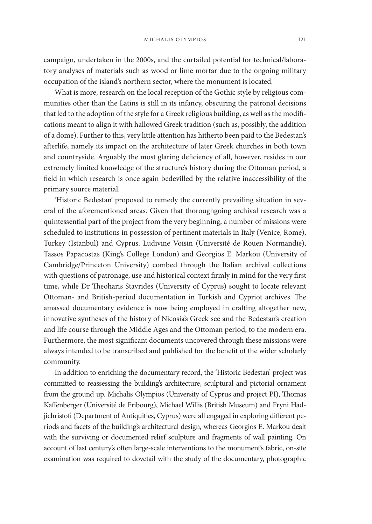campaign, undertaken in the 2000s, and the curtailed potential for technical/laboratory analyses of materials such as wood or lime mortar due to the ongoing military occupation of the island's northern sector, where the monument is located.

What is more, research on the local reception of the Gothic style by religious communities other than the Latins is still in its infancy, obscuring the patronal decisions that led to the adoption of the style for a Greek religious building, as well as the modifications meant to align it with hallowed Greek tradition (such as, possibly, the addition of a dome). Further to this, very little attention has hitherto been paid to the Bedestan's afterlife, namely its impact on the architecture of later Greek churches in both town and countryside. Arguably the most glaring deficiency of all, however, resides in our extremely limited knowledge of the structure's history during the Ottoman period, a field in which research is once again bedevilled by the relative inaccessibility of the primary source material.

'Historic Bedestan' proposed to remedy the currently prevailing situation in several of the aforementioned areas. Given that thoroughgoing archival research was a quintessential part of the project from the very beginning, a number of missions were scheduled to institutions in possession of pertinent materials in Italy (Venice, Rome), Turkey (Istanbul) and Cyprus. Ludivine Voisin (Université de Rouen Normandie), Tassos Papacostas (King's College London) and Georgios E. Markou (University of Cambridge/Princeton University) combed through the Italian archival collections with questions of patronage, use and historical context firmly in mind for the very first time, while Dr Theoharis Stavrides (University of Cyprus) sought to locate relevant Ottoman- and British-period documentation in Turkish and Cypriot archives. The amassed documentary evidence is now being employed in crafting altogether new, innovative syntheses of the history of Nicosia's Greek see and the Bedestan's creation and life course through the Middle Ages and the Ottoman period, to the modern era. Furthermore, the most significant documents uncovered through these missions were always intended to be transcribed and published for the benefit of the wider scholarly community.

In addition to enriching the documentary record, the 'Historic Bedestan' project was committed to reassessing the building's architecture, sculptural and pictorial ornament from the ground up. Michalis Olympios (University of Cyprus and project PI), Thomas Kaffenberger (Université de Fribourg), Michael Willis (British Museum) and Fryni Hadjichristofi (Department of Antiquities, Cyprus) were all engaged in exploring different periods and facets of the building's architectural design, whereas Georgios E. Markou dealt with the surviving or documented relief sculpture and fragments of wall painting. On account of last century's often large-scale interventions to the monument's fabric, on-site examination was required to dovetail with the study of the documentary, photographic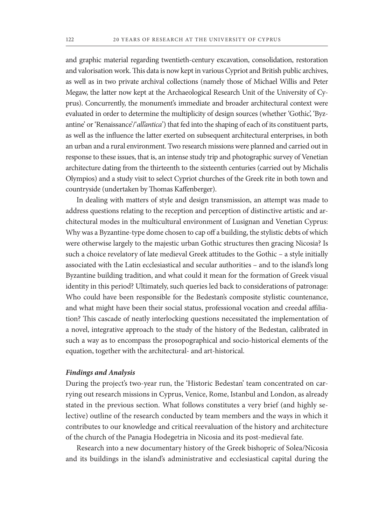and graphic material regarding twentieth-century excavation, consolidation, restoration and valorisation work. This data is now kept in various Cypriot and British public archives, as well as in two private archival collections (namely those of Michael Willis and Peter Megaw, the latter now kept at the Archaeological Research Unit of the University of Cyprus). Concurrently, the monument's immediate and broader architectural context were evaluated in order to determine the multiplicity of design sources (whether 'Gothic', 'Byzantine' or 'Renaissance'/'*all'antica*') that fed into the shaping of each of its constituent parts, as well as the influence the latter exerted on subsequent architectural enterprises, in both an urban and a rural environment. Two research missions were planned and carried out in response to these issues, that is, an intense study trip and photographic survey of Venetian architecture dating from the thirteenth to the sixteenth centuries (carried out by Michalis Olympios) and a study visit to select Cypriot churches of the Greek rite in both town and countryside (undertaken by Thomas Kaffenberger).

In dealing with matters of style and design transmission, an attempt was made to address questions relating to the reception and perception of distinctive artistic and architectural modes in the multicultural environment of Lusignan and Venetian Cyprus: Why was a Byzantine-type dome chosen to cap off a building, the stylistic debts of which were otherwise largely to the majestic urban Gothic structures then gracing Nicosia? Is such a choice revelatory of late medieval Greek attitudes to the Gothic – a style initially associated with the Latin ecclesiastical and secular authorities – and to the island's long Byzantine building tradition, and what could it mean for the formation of Greek visual identity in this period? Ultimately, such queries led back to considerations of patronage: Who could have been responsible for the Bedestan's composite stylistic countenance, and what might have been their social status, professional vocation and creedal affiliation? This cascade of neatly interlocking questions necessitated the implementation of a novel, integrative approach to the study of the history of the Bedestan, calibrated in such a way as to encompass the prosopographical and socio-historical elements of the equation, together with the architectural- and art-historical.

## *Findings and Analysis*

During the project's two-year run, the 'Historic Bedestan' team concentrated on carrying out research missions in Cyprus, Venice, Rome, Istanbul and London, as already stated in the previous section. What follows constitutes a very brief (and highly selective) outline of the research conducted by team members and the ways in which it contributes to our knowledge and critical reevaluation of the history and architecture of the church of the Panagia Hodegetria in Nicosia and its post-medieval fate.

Research into a new documentary history of the Greek bishopric of Solea/Nicosia and its buildings in the island's administrative and ecclesiastical capital during the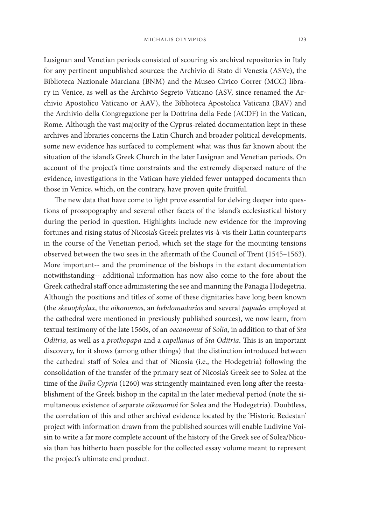Lusignan and Venetian periods consisted of scouring six archival repositories in Italy for any pertinent unpublished sources: the Archivio di Stato di Venezia (ASVe), the Biblioteca Nazionale Marciana (BNM) and the Museo Civico Correr (MCC) library in Venice, as well as the Archivio Segreto Vaticano (ASV, since renamed the Archivio Apostolico Vaticano or AAV), the Biblioteca Apostolica Vaticana (BAV) and the Archivio della Congregazione per la Dottrina della Fede (ACDF) in the Vatican, Rome. Although the vast majority of the Cyprus-related documentation kept in these archives and libraries concerns the Latin Church and broader political developments, some new evidence has surfaced to complement what was thus far known about the situation of the island's Greek Church in the later Lusignan and Venetian periods. On account of the project's time constraints and the extremely dispersed nature of the evidence, investigations in the Vatican have yielded fewer untapped documents than those in Venice, which, on the contrary, have proven quite fruitful.

The new data that have come to light prove essential for delving deeper into questions of prosopography and several other facets of the island's ecclesiastical history during the period in question. Highlights include new evidence for the improving fortunes and rising status of Nicosia's Greek prelates vis-à-vis their Latin counterparts in the course of the Venetian period, which set the stage for the mounting tensions observed between the two sees in the aftermath of the Council of Trent (1545–1563). More important-- and the prominence of the bishops in the extant documentation notwithstanding-- additional information has now also come to the fore about the Greek cathedral staff once administering the see and manning the Panagia Hodegetria. Although the positions and titles of some of these dignitaries have long been known (the *skeuophylax*, the *oikonomos*, an *hebdomadarios* and several *papades* employed at the cathedral were mentioned in previously published sources), we now learn, from textual testimony of the late 1560s, of an *oeconomus* of *Solia*, in addition to that of *Sta Oditria*, as well as a *prothopapa* and a *capellanus* of *Sta Oditria*. This is an important discovery, for it shows (among other things) that the distinction introduced between the cathedral staff of Solea and that of Nicosia (i.e., the Hodegetria) following the consolidation of the transfer of the primary seat of Nicosia's Greek see to Solea at the time of the *Bulla Cypria* (1260) was stringently maintained even long after the reestablishment of the Greek bishop in the capital in the later medieval period (note the simultaneous existence of separate *oikonomoi* for Solea and the Hodegetria). Doubtless, the correlation of this and other archival evidence located by the 'Historic Bedestan' project with information drawn from the published sources will enable Ludivine Voisin to write a far more complete account of the history of the Greek see of Solea/Nicosia than has hitherto been possible for the collected essay volume meant to represent the project's ultimate end product.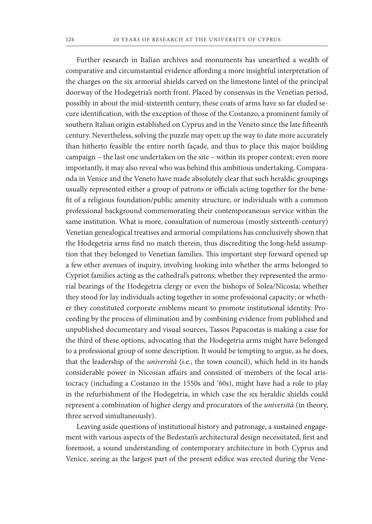Further research in Italian archives and monuments has unearthed a wealth of comparative and circumstantial evidence affording a more insightful interpretation of the charges on the six armorial shields carved on the limestone lintel of the principal doorway of the Hodegetria's north front. Placed by consensus in the Venetian period, possibly in about the mid-sixteenth century, these coats of arms have so far eluded secure identification, with the exception of those of the Costanzo, a prominent family of southern Italian origin established on Cyprus and in the Veneto since the late fifteenth century. Nevertheless, solving the puzzle may open up the way to date more accurately than hitherto feasible the entire north façade, and thus to place this major building campaign – the last one undertaken on the site – within its proper context; even more importantly, it may also reveal who was behind this ambitious undertaking. Comparanda in Venice and the Veneto have made absolutely clear that such heraldic groupings usually represented either a group of patrons or officials acting together for the benefit of a religious foundation/public amenity structure, or individuals with a common professional background commemorating their contemporaneous service within the same institution. What is more, consultation of numerous (mostly sixteenth-century) Venetian genealogical treatises and armorial compilations has conclusively shown that the Hodegetria arms find no match therein, thus discrediting the long-held assumption that they belonged to Venetian families. This important step forward opened up a few other avenues of inquiry, involving looking into whether the arms belonged to Cypriot families acting as the cathedral's patrons; whether they represented the armorial bearings of the Hodegetria clergy or even the bishops of Solea/Nicosia; whether they stood for lay individuals acting together in some professional capacity; or whether they constituted corporate emblems meant to promote institutional identity. Proceeding by the process of elimination and by combining evidence from published and unpublished documentary and visual sources, Tassos Papacostas is making a case for the third of these options, advocating that the Hodegetria arms might have belonged to a professional group of some description. It would be tempting to argue, as he does, that the leadership of the *università* (i.e., the town council), which held in its hands considerable power in Nicosian affairs and consisted of members of the local aristocracy (including a Costanzo in the 1550s and '60s), might have had a role to play in the refurbishment of the Hodegetria, in which case the six heraldic shields could represent a combination of higher clergy and procurators of the *università* (in theory, three served simultaneously).

Leaving aside questions of institutional history and patronage, a sustained engagement with various aspects of the Bedestan's architectural design necessitated, first and foremost, a sound understanding of contemporary architecture in both Cyprus and Venice, seeing as the largest part of the present edifice was erected during the Vene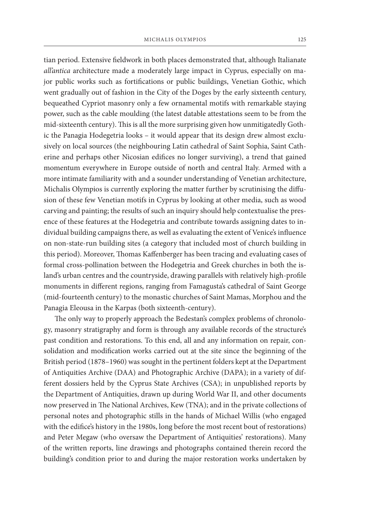tian period. Extensive fieldwork in both places demonstrated that, although Italianate *all'antica* architecture made a moderately large impact in Cyprus, especially on major public works such as fortifications or public buildings, Venetian Gothic, which went gradually out of fashion in the City of the Doges by the early sixteenth century, bequeathed Cypriot masonry only a few ornamental motifs with remarkable staying power, such as the cable moulding (the latest datable attestations seem to be from the mid-sixteenth century). This is all the more surprising given how unmitigatedly Gothic the Panagia Hodegetria looks – it would appear that its design drew almost exclusively on local sources (the neighbouring Latin cathedral of Saint Sophia, Saint Catherine and perhaps other Nicosian edifices no longer surviving), a trend that gained momentum everywhere in Europe outside of north and central Italy. Armed with a more intimate familiarity with and a sounder understanding of Venetian architecture, Michalis Olympios is currently exploring the matter further by scrutinising the diffusion of these few Venetian motifs in Cyprus by looking at other media, such as wood carving and painting; the results of such an inquiry should help contextualise the presence of these features at the Hodegetria and contribute towards assigning dates to individual building campaigns there, as well as evaluating the extent of Venice's influence on non-state-run building sites (a category that included most of church building in this period). Moreover, Thomas Kaffenberger has been tracing and evaluating cases of formal cross-pollination between the Hodegetria and Greek churches in both the island's urban centres and the countryside, drawing parallels with relatively high-profile monuments in different regions, ranging from Famagusta's cathedral of Saint George (mid-fourteenth century) to the monastic churches of Saint Mamas, Morphou and the Panagia Eleousa in the Karpas (both sixteenth-century).

The only way to properly approach the Bedestan's complex problems of chronology, masonry stratigraphy and form is through any available records of the structure's past condition and restorations. To this end, all and any information on repair, consolidation and modification works carried out at the site since the beginning of the British period (1878–1960) was sought in the pertinent folders kept at the Department of Antiquities Archive (DAA) and Photographic Archive (DAPA); in a variety of different dossiers held by the Cyprus State Archives (CSA); in unpublished reports by the Department of Antiquities, drawn up during World War II, and other documents now preserved in The National Archives, Kew (TNA); and in the private collections of personal notes and photographic stills in the hands of Michael Willis (who engaged with the edifice's history in the 1980s, long before the most recent bout of restorations) and Peter Megaw (who oversaw the Department of Antiquities' restorations). Many of the written reports, line drawings and photographs contained therein record the building's condition prior to and during the major restoration works undertaken by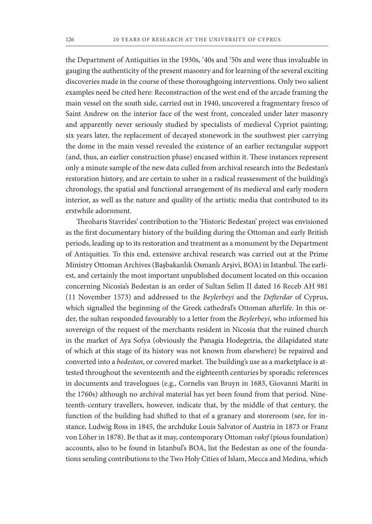the Department of Antiquities in the 1930s, '40s and '50s and were thus invaluable in gauging the authenticity of the present masonry and for learning of the several exciting discoveries made in the course of these thoroughgoing interventions. Only two salient examples need be cited here: Reconstruction of the west end of the arcade framing the main vessel on the south side, carried out in 1940, uncovered a fragmentary fresco of Saint Andrew on the interior face of the west front, concealed under later masonry and apparently never seriously studied by specialists of medieval Cypriot painting; six years later, the replacement of decayed stonework in the southwest pier carrying the dome in the main vessel revealed the existence of an earlier rectangular support (and, thus, an earlier construction phase) encased within it. These instances represent only a minute sample of the new data culled from archival research into the Bedestan's restoration history, and are certain to usher in a radical reassessment of the building's chronology, the spatial and functional arrangement of its medieval and early modern interior, as well as the nature and quality of the artistic media that contributed to its erstwhile adornment.

Theoharis Stavrides' contribution to the 'Historic Bedestan' project was envisioned as the first documentary history of the building during the Ottoman and early British periods, leading up to its restoration and treatment as a monument by the Department of Antiquities. To this end, extensive archival research was carried out at the Prime Ministry Ottoman Archives (Başbakanlık Osmanlı Arşivi, BOA) in Istanbul. The earliest, and certainly the most important unpublished document located on this occasion concerning Nicosia's Bedestan is an order of Sultan Selim II dated 16 Receb AH 981 (11 November 1573) and addressed to the *Beylerbeyi* and the *Defterdar* of Cyprus, which signalled the beginning of the Greek cathedral's Ottoman afterlife. In this order, the sultan responded favourably to a letter from the *Beylerbeyi*, who informed his sovereign of the request of the merchants resident in Nicosia that the ruined church in the market of Aya Sofya (obviously the Panagia Hodegetria, the dilapidated state of which at this stage of its history was not known from elsewhere) be repaired and converted into a *bedestan*, or covered market. The building's use as a marketplace is attested throughout the seventeenth and the eighteenth centuries by sporadic references in documents and travelogues (e.g., Cornelis van Bruyn in 1683, Giovanni Mariti in the 1760s) although no archival material has yet been found from that period. Nineteenth-century travellers, however, indicate that, by the middle of that century, the function of the building had shifted to that of a granary and storeroom (see, for instance, Ludwig Ross in 1845, the archduke Louis Salvator of Austria in 1873 or Franz von Löher in 1878). Be that as it may, contemporary Ottoman *vakıf* (pious foundation) accounts, also to be found in Istanbul's BOA, list the Bedestan as one of the foundations sending contributions to the Two Holy Cities of Islam, Mecca and Medina, which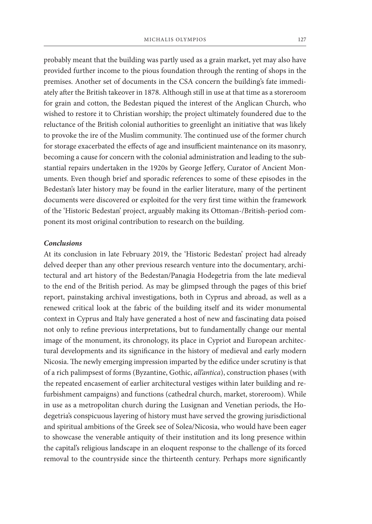probably meant that the building was partly used as a grain market, yet may also have provided further income to the pious foundation through the renting of shops in the premises. Another set of documents in the CSA concern the building's fate immediately after the British takeover in 1878. Although still in use at that time as a storeroom for grain and cotton, the Bedestan piqued the interest of the Anglican Church, who wished to restore it to Christian worship; the project ultimately foundered due to the reluctance of the British colonial authorities to greenlight an initiative that was likely to provoke the ire of the Muslim community. The continued use of the former church for storage exacerbated the effects of age and insufficient maintenance on its masonry, becoming a cause for concern with the colonial administration and leading to the substantial repairs undertaken in the 1920s by George Jeffery, Curator of Ancient Monuments. Even though brief and sporadic references to some of these episodes in the Bedestan's later history may be found in the earlier literature, many of the pertinent documents were discovered or exploited for the very first time within the framework of the 'Historic Bedestan' project, arguably making its Ottoman-/British-period component its most original contribution to research on the building.

## *Conclusions*

At its conclusion in late February 2019, the 'Historic Bedestan' project had already delved deeper than any other previous research venture into the documentary, architectural and art history of the Bedestan/Panagia Hodegetria from the late medieval to the end of the British period. As may be glimpsed through the pages of this brief report, painstaking archival investigations, both in Cyprus and abroad, as well as a renewed critical look at the fabric of the building itself and its wider monumental context in Cyprus and Italy have generated a host of new and fascinating data poised not only to refine previous interpretations, but to fundamentally change our mental image of the monument, its chronology, its place in Cypriot and European architectural developments and its significance in the history of medieval and early modern Nicosia. The newly emerging impression imparted by the edifice under scrutiny is that of a rich palimpsest of forms (Byzantine, Gothic, *all'antica*), construction phases (with the repeated encasement of earlier architectural vestiges within later building and refurbishment campaigns) and functions (cathedral church, market, storeroom). While in use as a metropolitan church during the Lusignan and Venetian periods, the Hodegetria's conspicuous layering of history must have served the growing jurisdictional and spiritual ambitions of the Greek see of Solea/Nicosia, who would have been eager to showcase the venerable antiquity of their institution and its long presence within the capital's religious landscape in an eloquent response to the challenge of its forced removal to the countryside since the thirteenth century. Perhaps more significantly